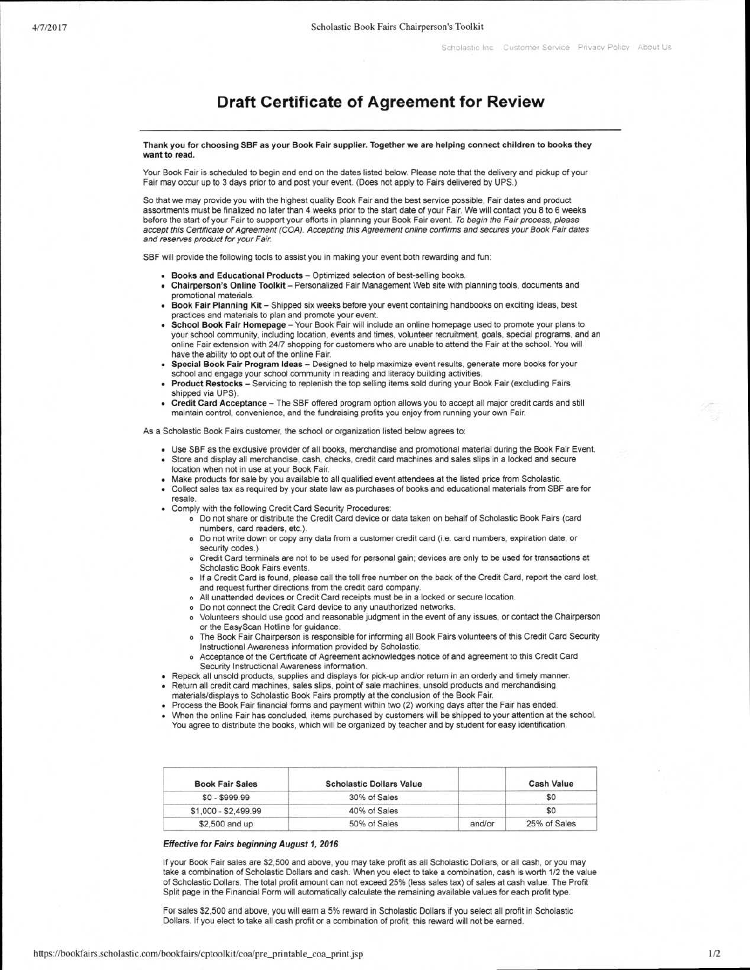## **Draft Certificate of Agreement for Review**

## **Thank you for choosing SBF as your Book Fair supplier. Together we are helping connect children to books they want to read.**

Your Book Fair is scheduled to begin and end on the dates listed below. Please note that the delivery and pickup of your Fair may occur up to 3 days prior to and post your event. (Does not apply to Fairs delivered by UPS.)

So that we may provide you with the highest quality Book Fair and the best service possible, Fair dates and product assortments must be finalized no later than 4 weeks prior to the start date of your Fair. We will contact you 8 to 6 weeks before the start of your Fair to support your efforts in planning your Book Fair event. To begin the Fair process, please accept this Certificate of Agreement (COA). Accepting this Agreement online confirms and secures your Book Fair dates and reserves product for your Fair

SBF will provide the following tools to assist you in making your event both rewarding and fun:

- **Books and Educational Products** Optimized selection of best-selling books.
- **Chairperson's Online Toolkit** Personalized Fair Management Web site with planning tools, documents and promotional materials.
- **Book Fair Planning Kit** Shipped six weeks before your event containing handbooks on exciting ideas, best practices and materials to plan and promote your event.
- **School Book Fair Homepage** Your Book Fair will include an online homepage used to promote your plans to your school community, including location, events and times, volunteer recruitment, goals, special programs, and an online Fair extension with 24/7 shopping for customers who are unable to attend the Fair at the school. You will have the ability to opt out of the online Fair.
- **Special Book Fair Program Ideas** Designed to help maximize event results, generate more books for your school and engage your school community in reading and literacy building activities.
- **Product Restocks** Servicing to replenish the top selling items sold during your Book Fair (excluding Fairs shipped via UPS).
- **Credit Card Acceptance** The SBF offered program option allows you to accept all major credit cards and still maintain control, convenience, and the fundraising profits you enjoy from running your own Fair.

As a Scholastic Book Fairs customer, the school or organization listed below agrees to:

- Use SBF as the exclusive provider of all books, merchandise and promotional material during the Book Fair Event.
- Store and display all merchandise, cash, checks, credit card machines and sales slips in a locked and secure location when not in use at your Book Fair.
- Make products for sale by you available to all qualified event attendees at the listed price from Scholastic.
- Collect sales tax as required by your state law as purchases of books and educational materials from SBF are for resale.
- Comply with the following Credit Card Security Procedures:
	- o Do not share or distribute the Credit Card device or data taken on behalf of Scholastic Book Fairs (card numbers, card readers, etc.).
	- o Do not write down or copy any data from a customer credit card (i.e. card numbers, expiration date, or security codes.)
	- o Credit Card terminals are not to be used for personal gain; devices are only to be used for transactions at Scholastic Book Fairs events.
	- o If a Credit Card is found, please call the toll free number on the back of the Credit Card, report the card lost, and request further directions from the credit card company.
	- o All unattended devices or Credit Card receipts must be in a locked or secure location.
	- o Do not connect the Credit Card device to any unauthorized networks.
	- o Volunteers should use good and reasonable judgment in the event of any issues, or contact the Chairperson or the EasyScan Hotline for guidance.
	- o The Book Fair Chairperson is responsible for informing all Book Fairs volunteers of this Credit Card Security Instructional Awareness information provided by Scholastic.
	- Acceptance of the Certificate of Agreement acknowledges notice of and agreement to this Credit Card Security Instructional Awareness information.
- Repack all unsold products, supplies and displays for pick-up and/or return in an orderly and timely manner.
- Return all credit card machines, sales slips, point of sale machines, unsold products and merchandising materials/displays to Scholastic Book Fairs promptly at the conclusion of the Book Fair.
- Process the Book Fair financial forms and payment within two (2) working days after the Fair has ended.
- When the online Fair has concluded, items purchased by customers will be shipped to your attention at the school. You agree to distribute the books, which will be organized by teacher and by student for easy identification.

| <b>Book Fair Sales</b> | <b>Scholastic Dollars Value</b> |        | <b>Cash Value</b> |
|------------------------|---------------------------------|--------|-------------------|
| $$0 - $999.99$         | 30% of Sales                    |        | \$O               |
| $$1,000 - $2,499.99$   | 40% of Sales                    |        | \$0               |
| \$2,500 and up         | 50% of Sales                    | and/or | 25% of Sales      |

## **Effective for Fairs beginning August 1, 2016**

If your Book Fair sales are \$2,500 and above, you may take profit as all Scholastic Dollars, or all cash, or you may take a combination of Scholastic Dollars and cash. When you elect to take a combination, cash is worth 1/2 the value of Scholastic Dollars. The total profit amount can not exceed 25% (less sales tax) of sales at cash value. The Profit Split page in the Financial Form will automatically calculate the remaining available values for each profit type.

For sales \$2,500 and above, you will earn a 5% reward in Scholastic Dollars if you select all profit in Scholastic Dollars. If you elect to take all cash profit or a combination of profit, this reward will not be earned.